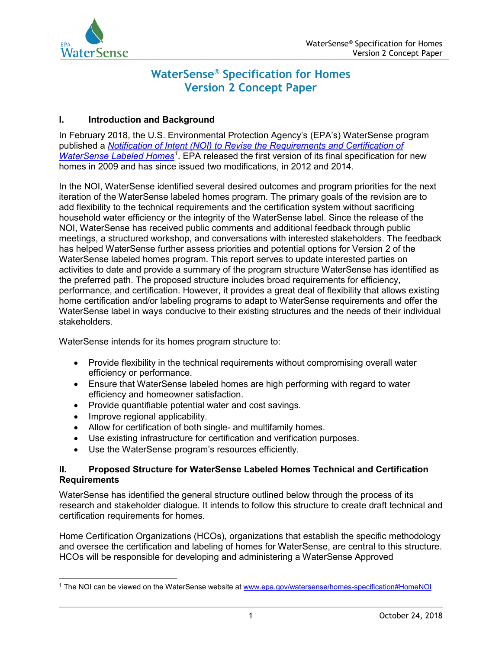

# **WaterSense**® **Specification for Homes Version 2 Concept Paper**

# **I. Introduction and Background**

In February 2018, the U.S. Environmental Protection Agency's (EPA's) WaterSense program published a *[Notification of Intent \(NOI\) to Revise the Requirements and Certification of](http://www.epa.gov/watersense/homes-specification#HomeNOI)  [WaterSense Labeled Homes](http://www.epa.gov/watersense/homes-specification#HomeNOI)[1](#page-0-0)* . EPA released the first version of its final specification for new homes in 2009 and has since issued two modifications, in 2012 and 2014.

In the NOI, WaterSense identified several desired outcomes and program priorities for the next iteration of the WaterSense labeled homes program. The primary goals of the revision are to add flexibility to the technical requirements and the certification system without sacrificing household water efficiency or the integrity of the WaterSense label. Since the release of the NOI, WaterSense has received public comments and additional feedback through public meetings, a structured workshop, and conversations with interested stakeholders. The feedback has helped WaterSense further assess priorities and potential options for Version 2 of the WaterSense labeled homes program. This report serves to update interested parties on activities to date and provide a summary of the program structure WaterSense has identified as the preferred path. The proposed structure includes broad requirements for efficiency, performance, and certification. However, it provides a great deal of flexibility that allows existing home certification and/or labeling programs to adapt to WaterSense requirements and offer the WaterSense label in ways conducive to their existing structures and the needs of their individual stakeholders.

WaterSense intends for its homes program structure to:

- Provide flexibility in the technical requirements without compromising overall water efficiency or performance.
- Ensure that WaterSense labeled homes are high performing with regard to water efficiency and homeowner satisfaction.
- Provide quantifiable potential water and cost savings.
- Improve regional applicability.
- Allow for certification of both single- and multifamily homes.
- Use existing infrastructure for certification and verification purposes.
- Use the WaterSense program's resources efficiently.

# **II. Proposed Structure for WaterSense Labeled Homes Technical and Certification Requirements**

WaterSense has identified the general structure outlined below through the process of its research and stakeholder dialogue. It intends to follow this structure to create draft technical and certification requirements for homes.

Home Certification Organizations (HCOs), organizations that establish the specific methodology and oversee the certification and labeling of homes for WaterSense, are central to this structure. HCOs will be responsible for developing and administering a WaterSense Approved

<span id="page-0-0"></span> $\overline{a}$ <sup>1</sup> The NOI can be viewed on the WaterSense website at <u>[www.epa.gov/watersense/homes-specification#HomeNOI](http://www.epa.gov/watersense/homes-specification#HomeNOI)</u>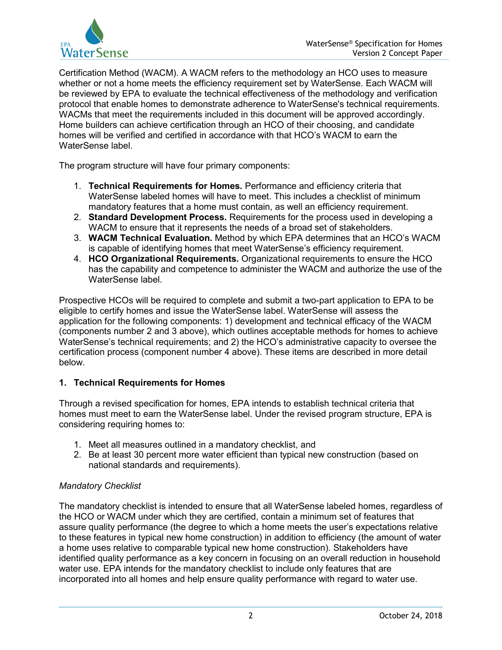

Certification Method (WACM). A WACM refers to the methodology an HCO uses to measure whether or not a home meets the efficiency requirement set by WaterSense. Each WACM will be reviewed by EPA to evaluate the technical effectiveness of the methodology and verification protocol that enable homes to demonstrate adherence to WaterSense's technical requirements. WACMs that meet the requirements included in this document will be approved accordingly. Home builders can achieve certification through an HCO of their choosing, and candidate homes will be verified and certified in accordance with that HCO's WACM to earn the WaterSense label.

The program structure will have four primary components:

- 1. **Technical Requirements for Homes***.* Performance and efficiency criteria that WaterSense labeled homes will have to meet. This includes a checklist of minimum mandatory features that a home must contain, as well an efficiency requirement.
- 2. **Standard Development Process.** Requirements for the process used in developing a WACM to ensure that it represents the needs of a broad set of stakeholders.
- 3. **WACM Technical Evaluation.** Method by which EPA determines that an HCO's WACM is capable of identifying homes that meet WaterSense's efficiency requirement.
- 4. **HCO Organizational Requirements***.* Organizational requirements to ensure the HCO has the capability and competence to administer the WACM and authorize the use of the WaterSense label.

Prospective HCOs will be required to complete and submit a two-part application to EPA to be eligible to certify homes and issue the WaterSense label. WaterSense will assess the application for the following components: 1) development and technical efficacy of the WACM (components number 2 and 3 above), which outlines acceptable methods for homes to achieve WaterSense's technical requirements; and 2) the HCO's administrative capacity to oversee the certification process (component number 4 above). These items are described in more detail below.

## **1. Technical Requirements for Homes**

Through a revised specification for homes, EPA intends to establish technical criteria that homes must meet to earn the WaterSense label. Under the revised program structure, EPA is considering requiring homes to:

- 1. Meet all measures outlined in a mandatory checklist, and
- 2. Be at least 30 percent more water efficient than typical new construction (based on national standards and requirements).

## *Mandatory Checklist*

The mandatory checklist is intended to ensure that all WaterSense labeled homes, regardless of the HCO or WACM under which they are certified, contain a minimum set of features that assure quality performance (the degree to which a home meets the user's expectations relative to these features in typical new home construction) in addition to efficiency (the amount of water a home uses relative to comparable typical new home construction). Stakeholders have identified quality performance as a key concern in focusing on an overall reduction in household water use. EPA intends for the mandatory checklist to include only features that are incorporated into all homes and help ensure quality performance with regard to water use.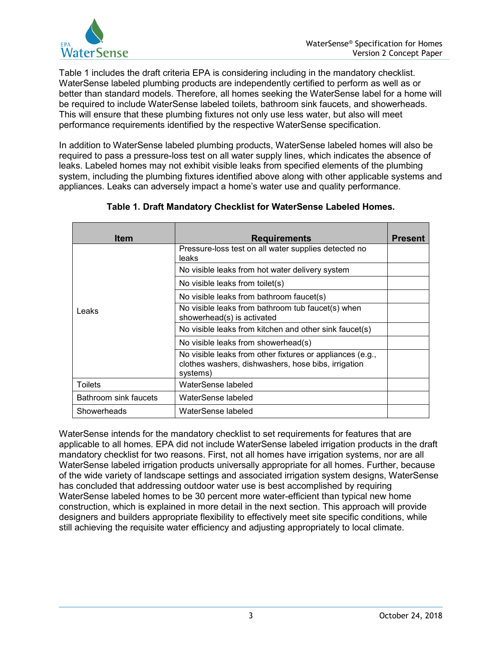

Table 1 includes the draft criteria EPA is considering including in the mandatory checklist. WaterSense labeled plumbing products are independently certified to perform as well as or better than standard models. Therefore, all homes seeking the WaterSense label for a home will be required to include WaterSense labeled toilets, bathroom sink faucets, and showerheads. This will ensure that these plumbing fixtures not only use less water, but also will meet performance requirements identified by the respective WaterSense specification.

In addition to WaterSense labeled plumbing products, WaterSense labeled homes will also be required to pass a pressure-loss test on all water supply lines, which indicates the absence of leaks. Labeled homes may not exhibit visible leaks from specified elements of the plumbing system, including the plumbing fixtures identified above along with other applicable systems and appliances. Leaks can adversely impact a home's water use and quality performance.

| <b>Item</b>           | <b>Requirements</b>                                                                                                          | Present |
|-----------------------|------------------------------------------------------------------------------------------------------------------------------|---------|
| Leaks                 | Pressure-loss test on all water supplies detected no<br>leaks                                                                |         |
|                       | No visible leaks from hot water delivery system                                                                              |         |
|                       | No visible leaks from toilet(s)                                                                                              |         |
|                       | No visible leaks from bathroom faucet(s)                                                                                     |         |
|                       | No visible leaks from bathroom tub faucet(s) when<br>showerhead(s) is activated                                              |         |
|                       | No visible leaks from kitchen and other sink faucet(s)                                                                       |         |
|                       | No visible leaks from showerhead(s)                                                                                          |         |
|                       | No visible leaks from other fixtures or appliances (e.g.,<br>clothes washers, dishwashers, hose bibs, irrigation<br>systems) |         |
| <b>Toilets</b>        | WaterSense labeled                                                                                                           |         |
| Bathroom sink faucets | WaterSense labeled                                                                                                           |         |
| Showerheads           | WaterSense labeled                                                                                                           |         |

# **Table 1. Draft Mandatory Checklist for WaterSense Labeled Homes.**

WaterSense intends for the mandatory checklist to set requirements for features that are applicable to all homes. EPA did not include WaterSense labeled irrigation products in the draft mandatory checklist for two reasons. First, not all homes have irrigation systems, nor are all WaterSense labeled irrigation products universally appropriate for all homes. Further, because of the wide variety of landscape settings and associated irrigation system designs, WaterSense has concluded that addressing outdoor water use is best accomplished by requiring WaterSense labeled homes to be 30 percent more water-efficient than typical new home construction, which is explained in more detail in the next section. This approach will provide designers and builders appropriate flexibility to effectively meet site specific conditions, while still achieving the requisite water efficiency and adjusting appropriately to local climate.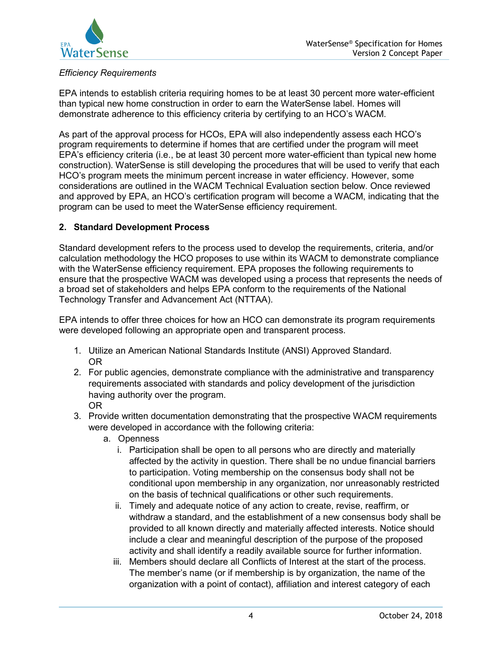

# *Efficiency Requirements*

EPA intends to establish criteria requiring homes to be at least 30 percent more water-efficient than typical new home construction in order to earn the WaterSense label. Homes will demonstrate adherence to this efficiency criteria by certifying to an HCO's WACM.

As part of the approval process for HCOs, EPA will also independently assess each HCO's program requirements to determine if homes that are certified under the program will meet EPA's efficiency criteria (i.e., be at least 30 percent more water-efficient than typical new home construction). WaterSense is still developing the procedures that will be used to verify that each HCO's program meets the minimum percent increase in water efficiency. However, some considerations are outlined in the WACM Technical Evaluation section below. Once reviewed and approved by EPA, an HCO's certification program will become a WACM, indicating that the program can be used to meet the WaterSense efficiency requirement.

## **2. Standard Development Process**

Standard development refers to the process used to develop the requirements, criteria, and/or calculation methodology the HCO proposes to use within its WACM to demonstrate compliance with the WaterSense efficiency requirement. EPA proposes the following requirements to ensure that the prospective WACM was developed using a process that represents the needs of a broad set of stakeholders and helps EPA conform to the requirements of the National Technology Transfer and Advancement Act (NTTAA).

EPA intends to offer three choices for how an HCO can demonstrate its program requirements were developed following an appropriate open and transparent process.

- 1. Utilize an American National Standards Institute (ANSI) Approved Standard. OR
- 2. For public agencies, demonstrate compliance with the administrative and transparency requirements associated with standards and policy development of the jurisdiction having authority over the program. OR
- 3. Provide written documentation demonstrating that the prospective WACM requirements were developed in accordance with the following criteria:
	- a. Openness
		- i. Participation shall be open to all persons who are directly and materially affected by the activity in question. There shall be no undue financial barriers to participation. Voting membership on the consensus body shall not be conditional upon membership in any organization, nor unreasonably restricted on the basis of technical qualifications or other such requirements.
		- ii. Timely and adequate notice of any action to create, revise, reaffirm, or withdraw a standard, and the establishment of a new consensus body shall be provided to all known directly and materially affected interests. Notice should include a clear and meaningful description of the purpose of the proposed activity and shall identify a readily available source for further information.
		- iii. Members should declare all Conflicts of Interest at the start of the process. The member's name (or if membership is by organization, the name of the organization with a point of contact), affiliation and interest category of each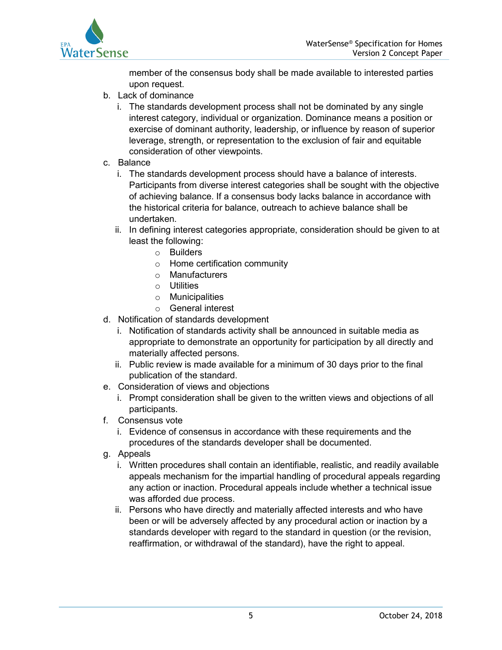

member of the consensus body shall be made available to interested parties upon request.

- b. Lack of dominance
	- i. The standards development process shall not be dominated by any single interest category, individual or organization. Dominance means a position or exercise of dominant authority, leadership, or influence by reason of superior leverage, strength, or representation to the exclusion of fair and equitable consideration of other viewpoints.
- c. Balance
	- i. The standards development process should have a balance of interests. Participants from diverse interest categories shall be sought with the objective of achieving balance. If a consensus body lacks balance in accordance with the historical criteria for balance, outreach to achieve balance shall be undertaken.
	- ii. In defining interest categories appropriate, consideration should be given to at least the following:
		- o Builders
		- o Home certification community
		- o Manufacturers
		- o Utilities
		- o Municipalities
		- o General interest
- d. Notification of standards development
	- i. Notification of standards activity shall be announced in suitable media as appropriate to demonstrate an opportunity for participation by all directly and materially affected persons.
	- ii. Public review is made available for a minimum of 30 days prior to the final publication of the standard.
- e. Consideration of views and objections
	- i. Prompt consideration shall be given to the written views and objections of all participants.
- f. Consensus vote
	- i. Evidence of consensus in accordance with these requirements and the procedures of the standards developer shall be documented.
- g. Appeals
	- i. Written procedures shall contain an identifiable, realistic, and readily available appeals mechanism for the impartial handling of procedural appeals regarding any action or inaction. Procedural appeals include whether a technical issue was afforded due process.
	- ii. Persons who have directly and materially affected interests and who have been or will be adversely affected by any procedural action or inaction by a standards developer with regard to the standard in question (or the revision, reaffirmation, or withdrawal of the standard), have the right to appeal.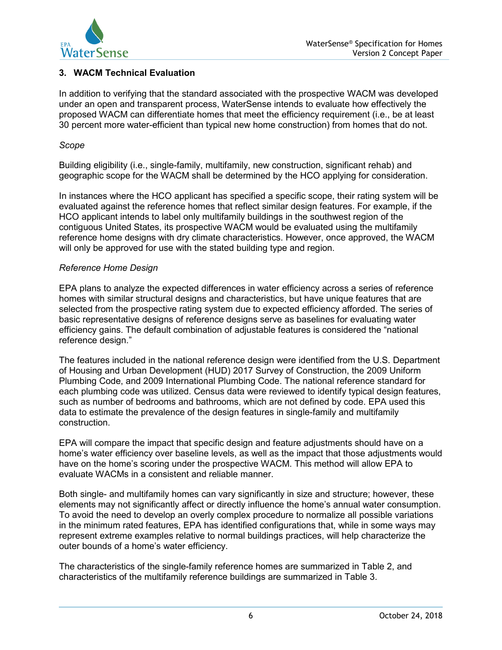

# **3. WACM Technical Evaluation**

In addition to verifying that the standard associated with the prospective WACM was developed under an open and transparent process, WaterSense intends to evaluate how effectively the proposed WACM can differentiate homes that meet the efficiency requirement (i.e., be at least 30 percent more water-efficient than typical new home construction) from homes that do not.

#### *Scope*

Building eligibility (i.e., single-family, multifamily, new construction, significant rehab) and geographic scope for the WACM shall be determined by the HCO applying for consideration.

In instances where the HCO applicant has specified a specific scope, their rating system will be evaluated against the reference homes that reflect similar design features. For example, if the HCO applicant intends to label only multifamily buildings in the southwest region of the contiguous United States, its prospective WACM would be evaluated using the multifamily reference home designs with dry climate characteristics. However, once approved, the WACM will only be approved for use with the stated building type and region.

#### *Reference Home Design*

EPA plans to analyze the expected differences in water efficiency across a series of reference homes with similar structural designs and characteristics, but have unique features that are selected from the prospective rating system due to expected efficiency afforded. The series of basic representative designs of reference designs serve as baselines for evaluating water efficiency gains. The default combination of adjustable features is considered the "national reference design."

The features included in the national reference design were identified from the U.S. Department of Housing and Urban Development (HUD) 2017 Survey of Construction, the 2009 Uniform Plumbing Code, and 2009 International Plumbing Code. The national reference standard for each plumbing code was utilized. Census data were reviewed to identify typical design features, such as number of bedrooms and bathrooms, which are not defined by code. EPA used this data to estimate the prevalence of the design features in single-family and multifamily construction.

EPA will compare the impact that specific design and feature adjustments should have on a home's water efficiency over baseline levels, as well as the impact that those adjustments would have on the home's scoring under the prospective WACM. This method will allow EPA to evaluate WACMs in a consistent and reliable manner.

Both single- and multifamily homes can vary significantly in size and structure; however, these elements may not significantly affect or directly influence the home's annual water consumption. To avoid the need to develop an overly complex procedure to normalize all possible variations in the minimum rated features, EPA has identified configurations that, while in some ways may represent extreme examples relative to normal buildings practices, will help characterize the outer bounds of a home's water efficiency.

The characteristics of the single-family reference homes are summarized in Table 2, and characteristics of the multifamily reference buildings are summarized in Table 3.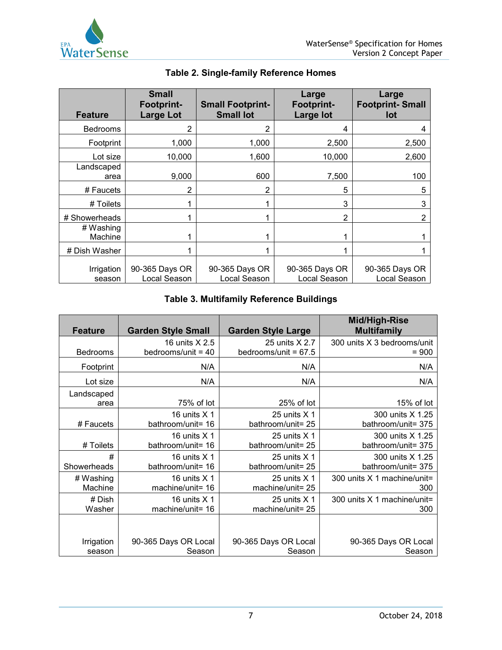

| <b>Feature</b>       | <b>Small</b><br><b>Footprint-</b><br><b>Large Lot</b> | <b>Small Footprint-</b><br><b>Small lot</b> | Large<br><b>Footprint-</b><br><b>Large lot</b> | Large<br><b>Footprint-Small</b><br>lot |
|----------------------|-------------------------------------------------------|---------------------------------------------|------------------------------------------------|----------------------------------------|
| <b>Bedrooms</b>      | 2                                                     | 2                                           | 4                                              |                                        |
| Footprint            | 1,000                                                 | 1,000                                       | 2,500                                          | 2,500                                  |
| Lot size             | 10,000                                                | 1,600                                       | 10,000                                         | 2,600                                  |
| Landscaped<br>area   | 9,000                                                 | 600                                         | 7,500                                          | 100                                    |
| # Faucets            | 2                                                     | $\overline{2}$                              | 5                                              | 5                                      |
| # Toilets            |                                                       |                                             | 3                                              | 3                                      |
| # Showerheads        |                                                       |                                             | 2                                              | 2                                      |
| # Washing<br>Machine |                                                       |                                             |                                                |                                        |
| # Dish Washer        |                                                       |                                             |                                                |                                        |
| Irrigation<br>season | 90-365 Days OR<br>Local Season                        | 90-365 Days OR<br>Local Season              | 90-365 Days OR<br>Local Season                 | 90-365 Days OR<br>Local Season         |

# **Table 2. Single-family Reference Homes**

# **Table 3. Multifamily Reference Buildings**

| <b>Feature</b>     | <b>Garden Style Small</b> | <b>Garden Style Large</b> | Mid/High-Rise<br><b>Multifamily</b> |
|--------------------|---------------------------|---------------------------|-------------------------------------|
| Bedrooms           | 16 units X 2.5            | 25 units X 2.7            | 300 units X 3 bedrooms/unit         |
|                    | bedrooms/unit = $40$      | bedrooms/unit = $67.5$    | $= 900$                             |
| Footprint          | N/A                       | N/A                       | N/A                                 |
| Lot size           | N/A                       | N/A                       | N/A                                 |
| Landscaped<br>area | 75% of lot                | 25% of lot                | 15% of lot                          |
| # Faucets          | 16 units $X$ 1            | 25 units $X$ 1            | 300 units X 1.25                    |
|                    | bathroom/unit= 16         | bathroom/unit= 25         | bathroom/unit= 375                  |
| # Toilets          | 16 units X 1              | 25 units X 1              | 300 units X 1.25                    |
|                    | bathroom/unit= 16         | bathroom/unit= 25         | bathroom/unit= 375                  |
| #                  | 16 units $X$ 1            | 25 units $X$ 1            | 300 units X 1.25                    |
| Showerheads        | bathroom/unit= 16         | bathroom/unit= 25         | bathroom/unit= 375                  |
| # Washing          | 16 units $X$ 1            | 25 units $X$ 1            | 300 units X 1 machine/unit=         |
| Machine            | machine/unit= 16          | machine/unit= 25          | 300                                 |
| # Dish             | 16 units $X$ 1            | 25 units $X$ 1            | 300 units $X$ 1 machine/unit=       |
| Washer             | machine/unit= 16          | machine/unit= 25          | 300                                 |
|                    |                           |                           |                                     |
| Irrigation         | 90-365 Days OR Local      | 90-365 Days OR Local      | 90-365 Days OR Local                |
| season             | Season                    | Season                    | Season                              |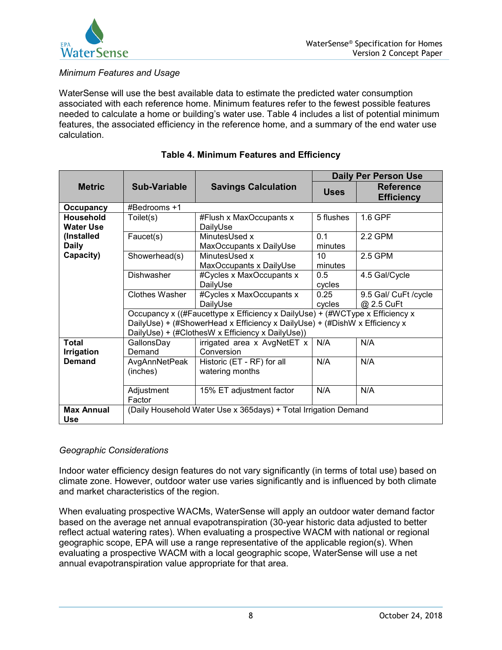

# *Minimum Features and Usage*

WaterSense will use the best available data to estimate the predicted water consumption associated with each reference home. Minimum features refer to the fewest possible features needed to calculate a home or building's water use. Table 4 includes a list of potential minimum features, the associated efficiency in the reference home, and a summary of the end water use calculation.

|                                                                          |                                                                                                                                                                                                                |                                               | <b>Daily Per Person Use</b> |                                       |  |  |
|--------------------------------------------------------------------------|----------------------------------------------------------------------------------------------------------------------------------------------------------------------------------------------------------------|-----------------------------------------------|-----------------------------|---------------------------------------|--|--|
| <b>Metric</b>                                                            | Sub-Variable                                                                                                                                                                                                   | <b>Savings Calculation</b>                    | <b>Uses</b>                 | <b>Reference</b><br><b>Efficiency</b> |  |  |
| <b>Occupancy</b>                                                         | #Bedrooms +1                                                                                                                                                                                                   |                                               |                             |                                       |  |  |
| Household<br><b>Water Use</b><br>(Installed<br><b>Daily</b><br>Capacity) | Toilet(s)                                                                                                                                                                                                      | #Flush x MaxOccupants x<br>DailyUse           | 5 flushes                   | 1.6 GPF                               |  |  |
|                                                                          | Faucet(s)                                                                                                                                                                                                      | MinutesUsed x<br>MaxOccupants x DailyUse      | 0.1<br>minutes              | 2.2 GPM                               |  |  |
|                                                                          | Showerhead(s)                                                                                                                                                                                                  | MinutesUsed x<br>MaxOccupants x DailyUse      | 10 <sup>1</sup><br>minutes  | 2.5 GPM                               |  |  |
|                                                                          | <b>Dishwasher</b>                                                                                                                                                                                              | #Cycles x MaxOccupants x<br>DailyUse          | 0.5<br>cycles               | 4.5 Gal/Cycle                         |  |  |
|                                                                          | <b>Clothes Washer</b>                                                                                                                                                                                          | #Cycles x MaxOccupants x<br>DailyUse          | 0.25<br>cycles              | 9.5 Gal/ CuFt /cycle<br>@ 2.5 CuFt    |  |  |
|                                                                          | Occupancy x ((#Faucettype x Efficiency x DailyUse) + (#WCType x Efficiency x<br>DailyUse) + (#ShowerHead x Efficiency x DailyUse) + (#DishW x Efficiency x<br>DailyUse) + (#ClothesW x Efficiency x DailyUse)) |                                               |                             |                                       |  |  |
| <b>Total</b><br><b>Irrigation</b><br>Demand                              | GallonsDay<br>Demand                                                                                                                                                                                           | irrigated area x AvgNetET x<br>Conversion     | N/A                         | N/A                                   |  |  |
|                                                                          | AvgAnnNetPeak<br>(inches)                                                                                                                                                                                      | Historic (ET - RF) for all<br>watering months | N/A                         | N/A                                   |  |  |
|                                                                          | Adjustment<br>Factor                                                                                                                                                                                           | 15% ET adjustment factor                      | N/A                         | N/A                                   |  |  |
| <b>Max Annual</b><br><b>Use</b>                                          | (Daily Household Water Use x 365days) + Total Irrigation Demand                                                                                                                                                |                                               |                             |                                       |  |  |

# **Table 4. Minimum Features and Efficiency**

#### *Geographic Considerations*

Indoor water efficiency design features do not vary significantly (in terms of total use) based on climate zone. However, outdoor water use varies significantly and is influenced by both climate and market characteristics of the region.

When evaluating prospective WACMs, WaterSense will apply an outdoor water demand factor based on the average net annual evapotranspiration (30-year historic data adjusted to better reflect actual watering rates). When evaluating a prospective WACM with national or regional geographic scope, EPA will use a range representative of the applicable region(s). When evaluating a prospective WACM with a local geographic scope, WaterSense will use a net annual evapotranspiration value appropriate for that area.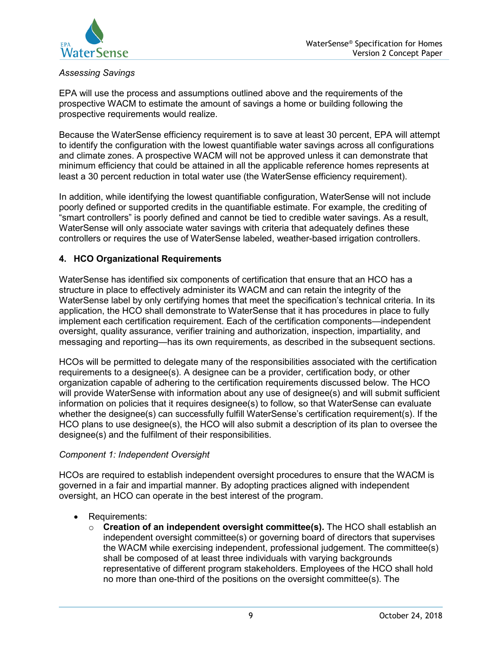

# *Assessing Savings*

EPA will use the process and assumptions outlined above and the requirements of the prospective WACM to estimate the amount of savings a home or building following the prospective requirements would realize.

Because the WaterSense efficiency requirement is to save at least 30 percent, EPA will attempt to identify the configuration with the lowest quantifiable water savings across all configurations and climate zones. A prospective WACM will not be approved unless it can demonstrate that minimum efficiency that could be attained in all the applicable reference homes represents at least a 30 percent reduction in total water use (the WaterSense efficiency requirement).

In addition, while identifying the lowest quantifiable configuration, WaterSense will not include poorly defined or supported credits in the quantifiable estimate. For example, the crediting of "smart controllers" is poorly defined and cannot be tied to credible water savings. As a result, WaterSense will only associate water savings with criteria that adequately defines these controllers or requires the use of WaterSense labeled, weather-based irrigation controllers.

## **4. HCO Organizational Requirements**

WaterSense has identified six components of certification that ensure that an HCO has a structure in place to effectively administer its WACM and can retain the integrity of the WaterSense label by only certifying homes that meet the specification's technical criteria. In its application, the HCO shall demonstrate to WaterSense that it has procedures in place to fully implement each certification requirement. Each of the certification components—independent oversight, quality assurance, verifier training and authorization, inspection, impartiality, and messaging and reporting—has its own requirements, as described in the subsequent sections.

HCOs will be permitted to delegate many of the responsibilities associated with the certification requirements to a designee(s). A designee can be a provider, certification body, or other organization capable of adhering to the certification requirements discussed below. The HCO will provide WaterSense with information about any use of designee(s) and will submit sufficient information on policies that it requires designee(s) to follow, so that WaterSense can evaluate whether the designee(s) can successfully fulfill WaterSense's certification requirement(s). If the HCO plans to use designee(s), the HCO will also submit a description of its plan to oversee the designee(s) and the fulfilment of their responsibilities.

## *Component 1: Independent Oversight*

HCOs are required to establish independent oversight procedures to ensure that the WACM is governed in a fair and impartial manner. By adopting practices aligned with independent oversight, an HCO can operate in the best interest of the program.

- Requirements:
	- o **Creation of an independent oversight committee(s).** The HCO shall establish an independent oversight committee(s) or governing board of directors that supervises the WACM while exercising independent, professional judgement. The committee(s) shall be composed of at least three individuals with varying backgrounds representative of different program stakeholders. Employees of the HCO shall hold no more than one-third of the positions on the oversight committee(s). The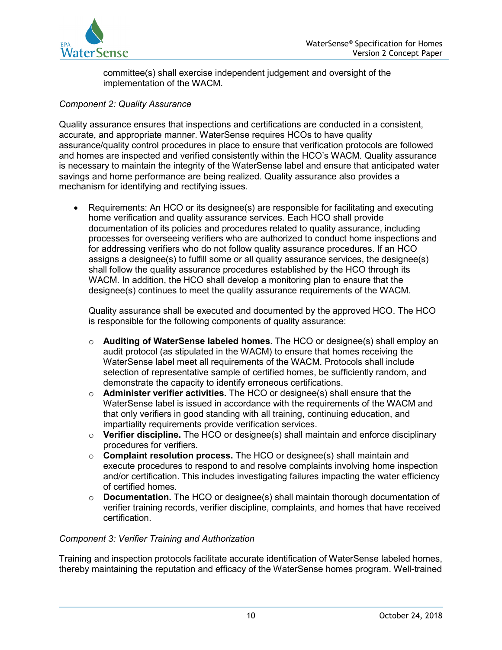

committee(s) shall exercise independent judgement and oversight of the implementation of the WACM.

## *Component 2: Quality Assurance*

Quality assurance ensures that inspections and certifications are conducted in a consistent, accurate, and appropriate manner. WaterSense requires HCOs to have quality assurance/quality control procedures in place to ensure that verification protocols are followed and homes are inspected and verified consistently within the HCO's WACM. Quality assurance is necessary to maintain the integrity of the WaterSense label and ensure that anticipated water savings and home performance are being realized. Quality assurance also provides a mechanism for identifying and rectifying issues.

• Requirements: An HCO or its designee(s) are responsible for facilitating and executing home verification and quality assurance services. Each HCO shall provide documentation of its policies and procedures related to quality assurance, including processes for overseeing verifiers who are authorized to conduct home inspections and for addressing verifiers who do not follow quality assurance procedures. If an HCO assigns a designee(s) to fulfill some or all quality assurance services, the designee(s) shall follow the quality assurance procedures established by the HCO through its WACM. In addition, the HCO shall develop a monitoring plan to ensure that the designee(s) continues to meet the quality assurance requirements of the WACM.

Quality assurance shall be executed and documented by the approved HCO. The HCO is responsible for the following components of quality assurance:

- o **Auditing of WaterSense labeled homes.** The HCO or designee(s) shall employ an audit protocol (as stipulated in the WACM) to ensure that homes receiving the WaterSense label meet all requirements of the WACM. Protocols shall include selection of representative sample of certified homes, be sufficiently random, and demonstrate the capacity to identify erroneous certifications.
- o **Administer verifier activities.** The HCO or designee(s) shall ensure that the WaterSense label is issued in accordance with the requirements of the WACM and that only verifiers in good standing with all training, continuing education, and impartiality requirements provide verification services.
- o **Verifier discipline.** The HCO or designee(s) shall maintain and enforce disciplinary procedures for verifiers.
- o **Complaint resolution process.** The HCO or designee(s) shall maintain and execute procedures to respond to and resolve complaints involving home inspection and/or certification. This includes investigating failures impacting the water efficiency of certified homes.
- o **Documentation.** The HCO or designee(s) shall maintain thorough documentation of verifier training records, verifier discipline, complaints, and homes that have received certification.

## *Component 3: Verifier Training and Authorization*

Training and inspection protocols facilitate accurate identification of WaterSense labeled homes, thereby maintaining the reputation and efficacy of the WaterSense homes program. Well-trained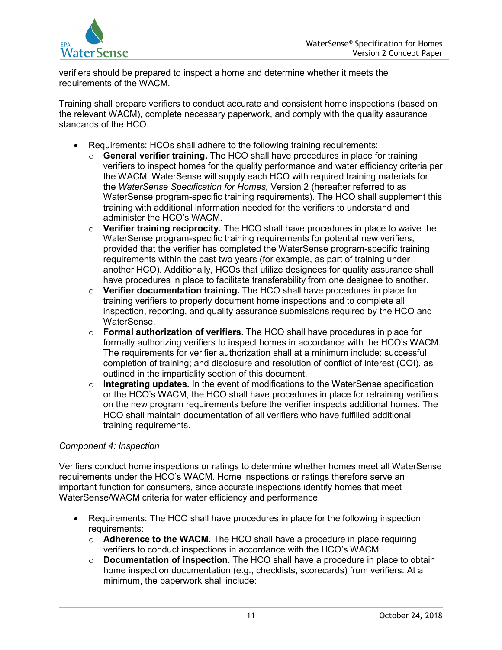verifiers should be prepared to inspect a home and determine whether it meets the requirements of the WACM.

Training shall prepare verifiers to conduct accurate and consistent home inspections (based on the relevant WACM), complete necessary paperwork, and comply with the quality assurance standards of the HCO.

- Requirements: HCOs shall adhere to the following training requirements:
	- o **General verifier training.** The HCO shall have procedures in place for training verifiers to inspect homes for the quality performance and water efficiency criteria per the WACM. WaterSense will supply each HCO with required training materials for the *WaterSense Specification for Homes,* Version 2 (hereafter referred to as WaterSense program-specific training requirements). The HCO shall supplement this training with additional information needed for the verifiers to understand and administer the HCO's WACM.
	- o **Verifier training reciprocity.** The HCO shall have procedures in place to waive the WaterSense program-specific training requirements for potential new verifiers, provided that the verifier has completed the WaterSense program-specific training requirements within the past two years (for example, as part of training under another HCO). Additionally, HCOs that utilize designees for quality assurance shall have procedures in place to facilitate transferability from one designee to another.
	- o **Verifier documentation training.** The HCO shall have procedures in place for training verifiers to properly document home inspections and to complete all inspection, reporting, and quality assurance submissions required by the HCO and WaterSense.
	- o **Formal authorization of verifiers.** The HCO shall have procedures in place for formally authorizing verifiers to inspect homes in accordance with the HCO's WACM. The requirements for verifier authorization shall at a minimum include: successful completion of training; and disclosure and resolution of conflict of interest (COI), as outlined in the impartiality section of this document.
	- o **Integrating updates.** In the event of modifications to the WaterSense specification or the HCO's WACM, the HCO shall have procedures in place for retraining verifiers on the new program requirements before the verifier inspects additional homes. The HCO shall maintain documentation of all verifiers who have fulfilled additional training requirements.

# *Component 4: Inspection*

Verifiers conduct home inspections or ratings to determine whether homes meet all WaterSense requirements under the HCO's WACM. Home inspections or ratings therefore serve an important function for consumers, since accurate inspections identify homes that meet WaterSense/WACM criteria for water efficiency and performance.

- Requirements: The HCO shall have procedures in place for the following inspection requirements:
	- o **Adherence to the WACM.** The HCO shall have a procedure in place requiring verifiers to conduct inspections in accordance with the HCO's WACM.
	- o **Documentation of inspection.** The HCO shall have a procedure in place to obtain home inspection documentation (e.g., checklists, scorecards) from verifiers. At a minimum, the paperwork shall include: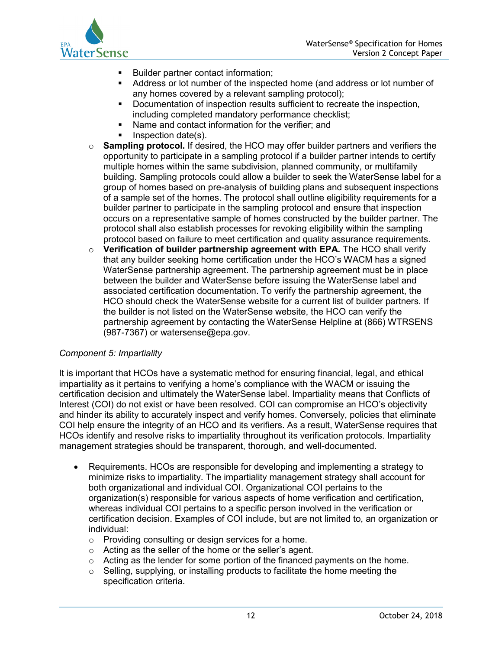

- Builder partner contact information;
- Address or lot number of the inspected home (and address or lot number of any homes covered by a relevant sampling protocol);
- **Documentation of inspection results sufficient to recreate the inspection,** including completed mandatory performance checklist;
- Name and contact information for the verifier; and
- Inspection date(s).
- o **Sampling protocol.** If desired, the HCO may offer builder partners and verifiers the opportunity to participate in a sampling protocol if a builder partner intends to certify multiple homes within the same subdivision, planned community, or multifamily building. Sampling protocols could allow a builder to seek the WaterSense label for a group of homes based on pre-analysis of building plans and subsequent inspections of a sample set of the homes. The protocol shall outline eligibility requirements for a builder partner to participate in the sampling protocol and ensure that inspection occurs on a representative sample of homes constructed by the builder partner. The protocol shall also establish processes for revoking eligibility within the sampling protocol based on failure to meet certification and quality assurance requirements.
- o **Verification of builder partnership agreement with EPA.** The HCO shall verify that any builder seeking home certification under the HCO's WACM has a signed WaterSense partnership agreement. The partnership agreement must be in place between the builder and WaterSense before issuing the WaterSense label and associated certification documentation. To verify the partnership agreement, the HCO should check the WaterSense website for a current list of builder partners. If the builder is not listed on the WaterSense website, the HCO can verify the partnership agreement by contacting the WaterSense Helpline at (866) WTRSENS (987-7367) or watersense@epa.gov.

## *Component 5: Impartiality*

It is important that HCOs have a systematic method for ensuring financial, legal, and ethical impartiality as it pertains to verifying a home's compliance with the WACM or issuing the certification decision and ultimately the WaterSense label. Impartiality means that Conflicts of Interest (COI) do not exist or have been resolved. COI can compromise an HCO's objectivity and hinder its ability to accurately inspect and verify homes. Conversely, policies that eliminate COI help ensure the integrity of an HCO and its verifiers. As a result, WaterSense requires that HCOs identify and resolve risks to impartiality throughout its verification protocols. Impartiality management strategies should be transparent, thorough, and well-documented.

- Requirements. HCOs are responsible for developing and implementing a strategy to minimize risks to impartiality. The impartiality management strategy shall account for both organizational and individual COI. Organizational COI pertains to the organization(s) responsible for various aspects of home verification and certification, whereas individual COI pertains to a specific person involved in the verification or certification decision. Examples of COI include, but are not limited to, an organization or individual:
	- o Providing consulting or design services for a home.
	- o Acting as the seller of the home or the seller's agent.
	- $\circ$  Acting as the lender for some portion of the financed payments on the home.
	- $\circ$  Selling, supplying, or installing products to facilitate the home meeting the specification criteria.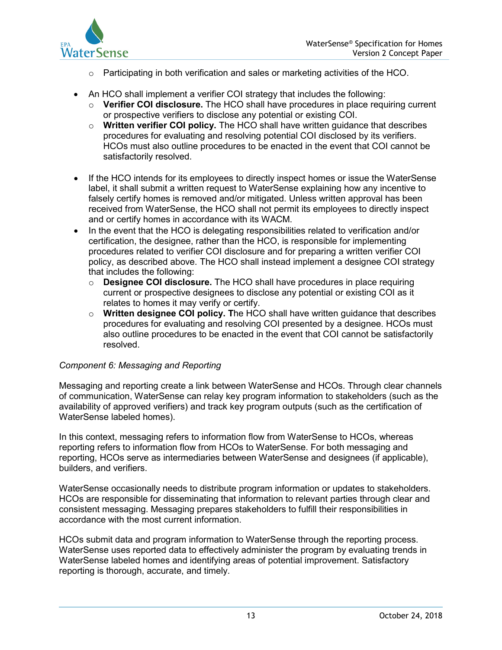

- $\circ$  Participating in both verification and sales or marketing activities of the HCO.
- An HCO shall implement a verifier COI strategy that includes the following:
	- o **Verifier COI disclosure.** The HCO shall have procedures in place requiring current or prospective verifiers to disclose any potential or existing COI.
	- o **Written verifier COI policy.** The HCO shall have written guidance that describes procedures for evaluating and resolving potential COI disclosed by its verifiers. HCOs must also outline procedures to be enacted in the event that COI cannot be satisfactorily resolved.
- If the HCO intends for its employees to directly inspect homes or issue the WaterSense label, it shall submit a written request to WaterSense explaining how any incentive to falsely certify homes is removed and/or mitigated. Unless written approval has been received from WaterSense, the HCO shall not permit its employees to directly inspect and or certify homes in accordance with its WACM.
- In the event that the HCO is delegating responsibilities related to verification and/or certification, the designee, rather than the HCO, is responsible for implementing procedures related to verifier COI disclosure and for preparing a written verifier COI policy, as described above. The HCO shall instead implement a designee COI strategy that includes the following:
	- o **Designee COI disclosure.** The HCO shall have procedures in place requiring current or prospective designees to disclose any potential or existing COI as it relates to homes it may verify or certify.
	- o **Written designee COI policy. T**he HCO shall have written guidance that describes procedures for evaluating and resolving COI presented by a designee. HCOs must also outline procedures to be enacted in the event that COI cannot be satisfactorily resolved.

## *Component 6: Messaging and Reporting*

Messaging and reporting create a link between WaterSense and HCOs. Through clear channels of communication, WaterSense can relay key program information to stakeholders (such as the availability of approved verifiers) and track key program outputs (such as the certification of WaterSense labeled homes).

In this context, messaging refers to information flow from WaterSense to HCOs, whereas reporting refers to information flow from HCOs to WaterSense. For both messaging and reporting, HCOs serve as intermediaries between WaterSense and designees (if applicable), builders, and verifiers.

WaterSense occasionally needs to distribute program information or updates to stakeholders. HCOs are responsible for disseminating that information to relevant parties through clear and consistent messaging. Messaging prepares stakeholders to fulfill their responsibilities in accordance with the most current information.

HCOs submit data and program information to WaterSense through the reporting process. WaterSense uses reported data to effectively administer the program by evaluating trends in WaterSense labeled homes and identifying areas of potential improvement. Satisfactory reporting is thorough, accurate, and timely.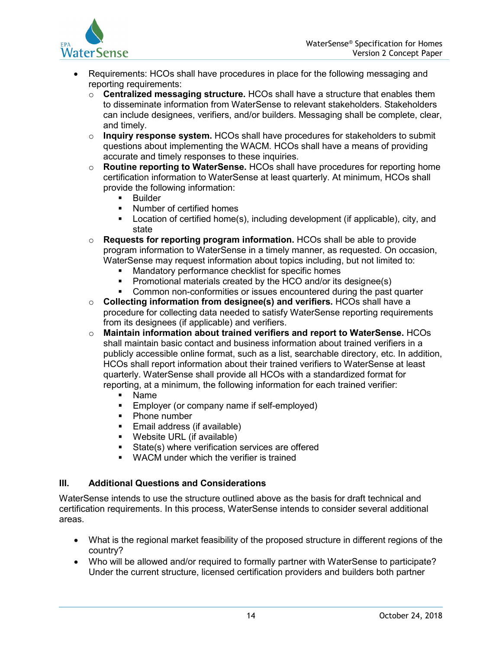

- Requirements: HCOs shall have procedures in place for the following messaging and reporting requirements:
	- o **Centralized messaging structure.** HCOs shall have a structure that enables them to disseminate information from WaterSense to relevant stakeholders. Stakeholders can include designees, verifiers, and/or builders. Messaging shall be complete, clear, and timely.
	- o **Inquiry response system.** HCOs shall have procedures for stakeholders to submit questions about implementing the WACM. HCOs shall have a means of providing accurate and timely responses to these inquiries.
	- o **Routine reporting to WaterSense.** HCOs shall have procedures for reporting home certification information to WaterSense at least quarterly. At minimum, HCOs shall provide the following information:
		- **Builder**
		- Number of certified homes
		- Location of certified home(s), including development (if applicable), city, and state
	- o **Requests for reporting program information.** HCOs shall be able to provide program information to WaterSense in a timely manner, as requested. On occasion, WaterSense may request information about topics including, but not limited to:
		- Mandatory performance checklist for specific homes
		- **Promotional materials created by the HCO and/or its designee(s)**
		- Common non-conformities or issues encountered during the past quarter
	- o **Collecting information from designee(s) and verifiers.** HCOs shall have a procedure for collecting data needed to satisfy WaterSense reporting requirements from its designees (if applicable) and verifiers.
	- o **Maintain information about trained verifiers and report to WaterSense.** HCOs shall maintain basic contact and business information about trained verifiers in a publicly accessible online format, such as a list, searchable directory, etc. In addition, HCOs shall report information about their trained verifiers to WaterSense at least quarterly. WaterSense shall provide all HCOs with a standardized format for reporting, at a minimum, the following information for each trained verifier:
		- Name
		- **Employer (or company name if self-employed)**
		- Phone number
		- **Email address (if available)**
		- Website URL (if available)
		- **State(s) where verification services are offered**
		- **WACM** under which the verifier is trained

## **III. Additional Questions and Considerations**

WaterSense intends to use the structure outlined above as the basis for draft technical and certification requirements. In this process, WaterSense intends to consider several additional areas.

- What is the regional market feasibility of the proposed structure in different regions of the country?
- Who will be allowed and/or required to formally partner with WaterSense to participate? Under the current structure, licensed certification providers and builders both partner